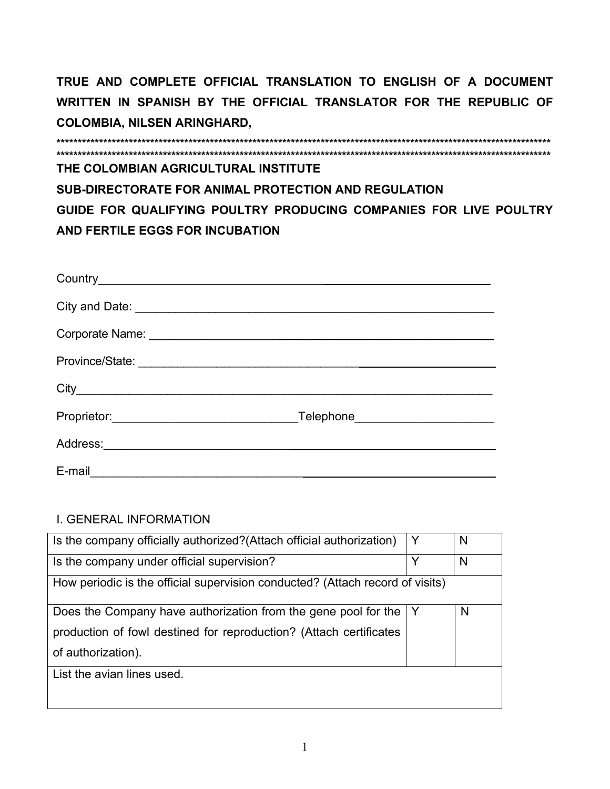**\*\*\*\*\*\*\*\*\*\*\*\*\*\*\*\*\*\*\*\*\*\*\*\*\*\*\*\*\*\*\*\*\*\*\*\*\*\*\*\*\*\*\*\*\*\*\*\*\*\*\*\*\*\*\*\*\*\*\*\*\*\*\*\*\*\*\*\*\*\*\*\*\*\*\*\*\*\*\*\*\*\*\*\*\*\*\*\*\*\*\*\*\*\*\*\*\*\*\*\*\*\*\*\*\*\*\*\*\*\*\*\*\*\*\*\* \*\*\*\*\*\*\*\*\*\*\*\*\*\*\*\*\*\*\*\*\*\*\*\*\*\*\*\*\*\*\*\*\*\*\*\*\*\*\*\*\*\*\*\*\*\*\*\*\*\*\*\*\*\*\*\*\*\*\*\*\*\*\*\*\*\*\*\*\*\*\*\*\*\*\*\*\*\*\*\*\*\*\*\*\*\*\*\*\*\*\*\*\*\*\*\*\*\*\*\*\*\*\*\*\*\*\*\*\*\*\*\*\*\*\*\* THE COLOMBIAN AGRICULTURAL INSTITUTE SUB-DIRECTORATE FOR ANIMAL PROTECTION AND REGULATION GUIDE FOR QUALIFYING POULTRY PRODUCING COMPANIES FOR LIVE POULTRY AND FERTILE EGGS FOR INCUBATION** 

| City and Date: <u>contract and a series of the series of the series of the series of the series of the series of the series of the series of the series of the series of the series of the series of the series of the series of</u> |  |
|--------------------------------------------------------------------------------------------------------------------------------------------------------------------------------------------------------------------------------------|--|
|                                                                                                                                                                                                                                      |  |
|                                                                                                                                                                                                                                      |  |
|                                                                                                                                                                                                                                      |  |
|                                                                                                                                                                                                                                      |  |
|                                                                                                                                                                                                                                      |  |
| E-mail                                                                                                                                                                                                                               |  |

## I. GENERAL INFORMATION

| Is the company officially authorized? (Attach official authorization)         | Y | N |
|-------------------------------------------------------------------------------|---|---|
| Is the company under official supervision?                                    | Y | N |
| How periodic is the official supervision conducted? (Attach record of visits) |   |   |
| Does the Company have authorization from the gene pool for the                |   | N |
| production of fowl destined for reproduction? (Attach certificates            |   |   |
| of authorization).                                                            |   |   |
| List the avian lines used.                                                    |   |   |
|                                                                               |   |   |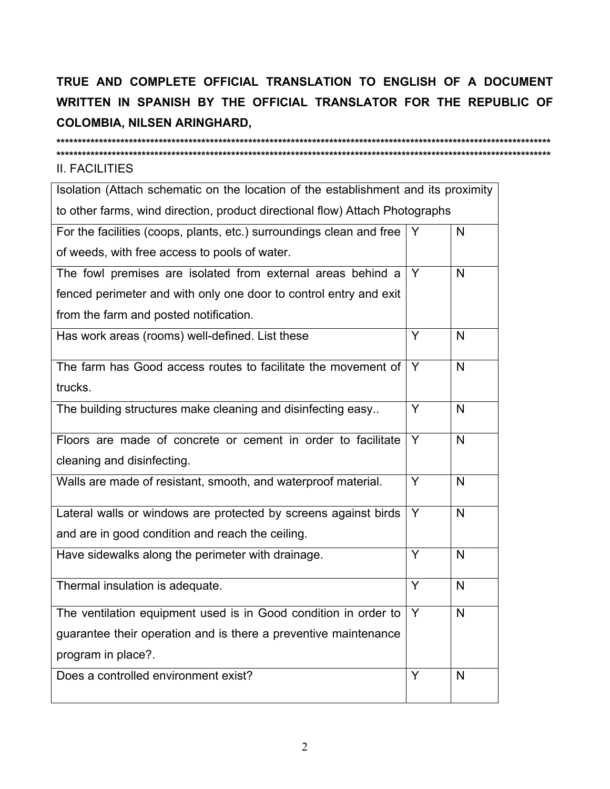## **II. FACILITIES**

| Isolation (Attach schematic on the location of the establishment and its proximity |                |              |
|------------------------------------------------------------------------------------|----------------|--------------|
| to other farms, wind direction, product directional flow) Attach Photographs       |                |              |
| For the facilities (coops, plants, etc.) surroundings clean and free               | Y              | $\mathsf{N}$ |
| of weeds, with free access to pools of water.                                      |                |              |
| The fowl premises are isolated from external areas behind a                        | Y              | $\mathsf{N}$ |
| fenced perimeter and with only one door to control entry and exit                  |                |              |
| from the farm and posted notification.                                             |                |              |
| Has work areas (rooms) well-defined. List these                                    | Y              | N            |
| The farm has Good access routes to facilitate the movement of                      | Y              | $\mathsf{N}$ |
| trucks.                                                                            |                |              |
| The building structures make cleaning and disinfecting easy                        | Y              | N            |
| Floors are made of concrete or cement in order to facilitate                       | Y              | $\mathsf{N}$ |
| cleaning and disinfecting.                                                         |                |              |
| Walls are made of resistant, smooth, and waterproof material.                      | $\overline{Y}$ | $\mathsf{N}$ |
| Lateral walls or windows are protected by screens against birds                    | Y              | N            |
| and are in good condition and reach the ceiling.                                   |                |              |
| Have sidewalks along the perimeter with drainage.                                  | Y              | $\mathsf{N}$ |
| Thermal insulation is adequate.                                                    | Y              | $\mathsf{N}$ |
| The ventilation equipment used is in Good condition in order to                    | Y              | N            |
| guarantee their operation and is there a preventive maintenance                    |                |              |
| program in place?.                                                                 |                |              |
| Does a controlled environment exist?                                               | Y              | N            |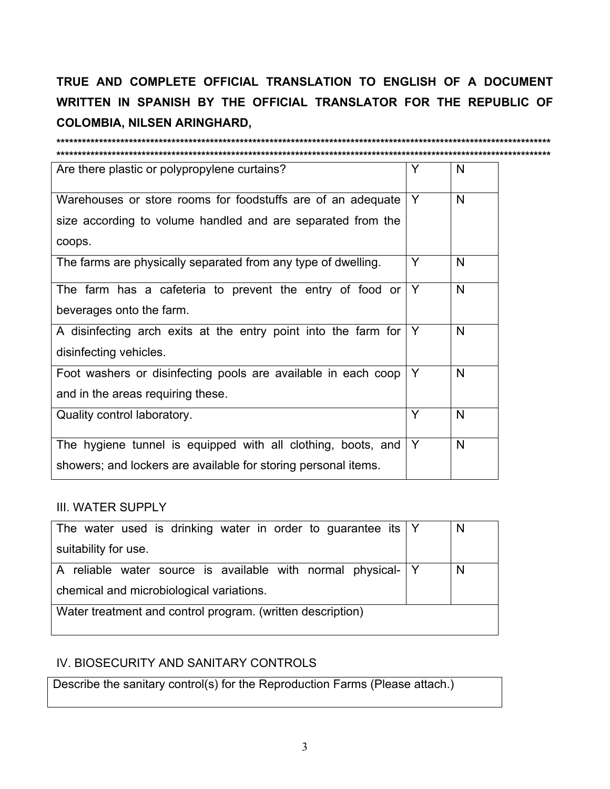| Are there plastic or polypropylene curtains?                                                                                         | Y | N |
|--------------------------------------------------------------------------------------------------------------------------------------|---|---|
| Warehouses or store rooms for foodstuffs are of an adequate<br>size according to volume handled and are separated from the<br>coops. | Y | N |
| The farms are physically separated from any type of dwelling.                                                                        | Y | N |
| The farm has a cafeteria to prevent the entry of food or<br>beverages onto the farm.                                                 | Y | N |
| A disinfecting arch exits at the entry point into the farm for<br>disinfecting vehicles.                                             | Y | N |
| Foot washers or disinfecting pools are available in each coop<br>and in the areas requiring these.                                   | Y | N |
| Quality control laboratory.                                                                                                          | Y | N |
| The hygiene tunnel is equipped with all clothing, boots, and<br>showers; and lockers are available for storing personal items.       | Y | N |

**III. WATER SUPPLY** 

| The water used is drinking water in order to guarantee its $ Y $ |  | N |
|------------------------------------------------------------------|--|---|
| suitability for use.                                             |  |   |
| A reliable water source is available with normal physical- Y     |  | N |
| chemical and microbiological variations.                         |  |   |
| Water treatment and control program. (written description)       |  |   |
|                                                                  |  |   |

## IV. BIOSECURITY AND SANITARY CONTROLS

Describe the sanitary control(s) for the Reproduction Farms (Please attach.)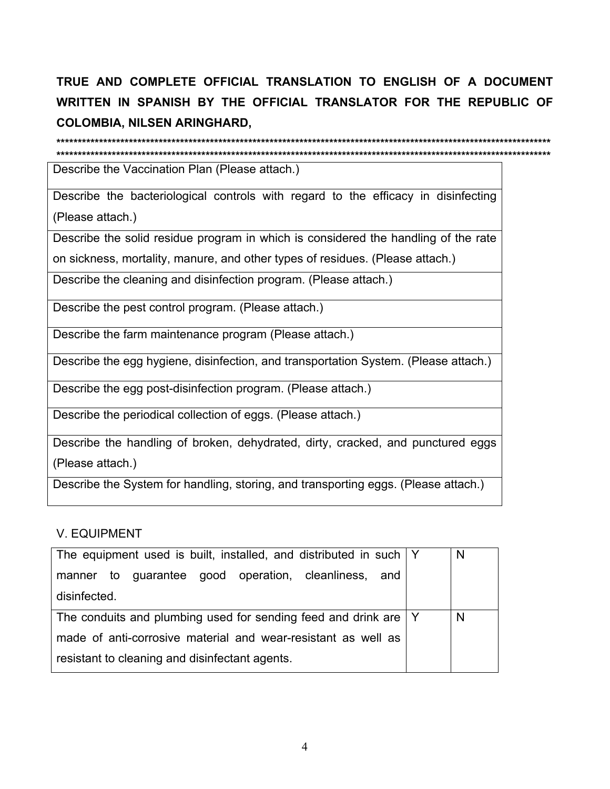Describe the Vaccination Plan (Please attach.)

Describe the bacteriological controls with regard to the efficacy in disinfecting (Please attach.)

Describe the solid residue program in which is considered the handling of the rate

on sickness, mortality, manure, and other types of residues. (Please attach.)

Describe the cleaning and disinfection program. (Please attach.)

Describe the pest control program. (Please attach.)

Describe the farm maintenance program (Please attach.)

Describe the egg hygiene, disinfection, and transportation System. (Please attach.)

Describe the egg post-disinfection program. (Please attach.)

Describe the periodical collection of eggs. (Please attach.)

Describe the handling of broken, dehydrated, dirty, cracked, and punctured eggs (Please attach.)

Describe the System for handling, storing, and transporting eggs. (Please attach.)

## **V. EQUIPMENT**

| The equipment used is built, installed, and distributed in such   Y |  | N |
|---------------------------------------------------------------------|--|---|
| manner to guarantee good operation, cleanliness,<br>and             |  |   |
| disinfected.                                                        |  |   |
| The conduits and plumbing used for sending feed and drink are   Y   |  | N |
| made of anti-corrosive material and wear-resistant as well as       |  |   |
| resistant to cleaning and disinfectant agents.                      |  |   |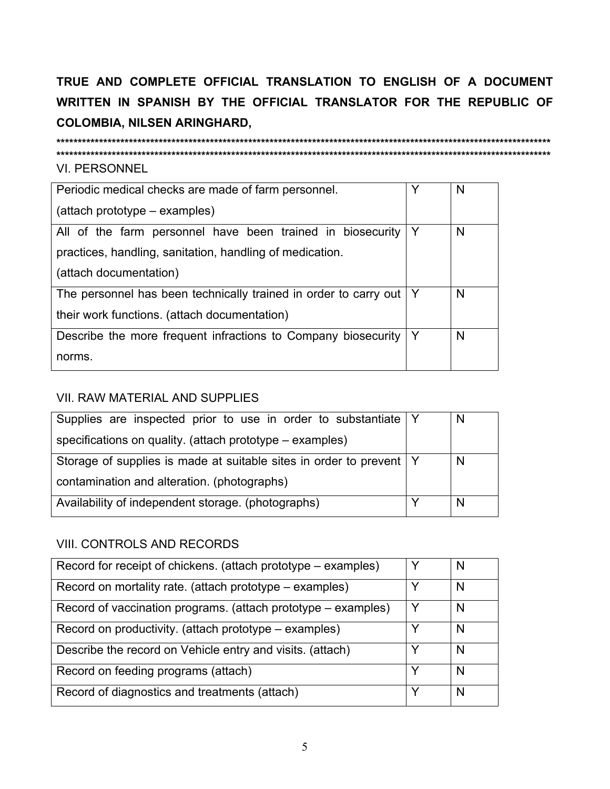**VI. PERSONNEL** 

| Periodic medical checks are made of farm personnel.              | Y | N |
|------------------------------------------------------------------|---|---|
| (attach prototype – examples)                                    |   |   |
| All of the farm personnel have been trained in biosecurity       | Y | N |
| practices, handling, sanitation, handling of medication.         |   |   |
| (attach documentation)                                           |   |   |
| The personnel has been technically trained in order to carry out | Y | N |
| their work functions. (attach documentation)                     |   |   |
| Describe the more frequent infractions to Company biosecurity    | Y | N |
| norms.                                                           |   |   |

## **VII. RAW MATERIAL AND SUPPLIES**

| Supplies are inspected prior to use in order to substantiate Y        | N |
|-----------------------------------------------------------------------|---|
| specifications on quality. (attach prototype – examples)              |   |
| Storage of supplies is made at suitable sites in order to prevent   Y | N |
| contamination and alteration. (photographs)                           |   |
| Availability of independent storage. (photographs)                    | N |

## VIII. CONTROLS AND RECORDS

| Record for receipt of chickens. (attach prototype – examples) |   | N |
|---------------------------------------------------------------|---|---|
| Record on mortality rate. (attach prototype – examples)       | ↘ | N |
| Record of vaccination programs. (attach prototype – examples) |   | N |
| Record on productivity. (attach prototype – examples)         |   | N |
| Describe the record on Vehicle entry and visits. (attach)     |   | N |
| Record on feeding programs (attach)                           | Υ | N |
| Record of diagnostics and treatments (attach)                 | v | N |